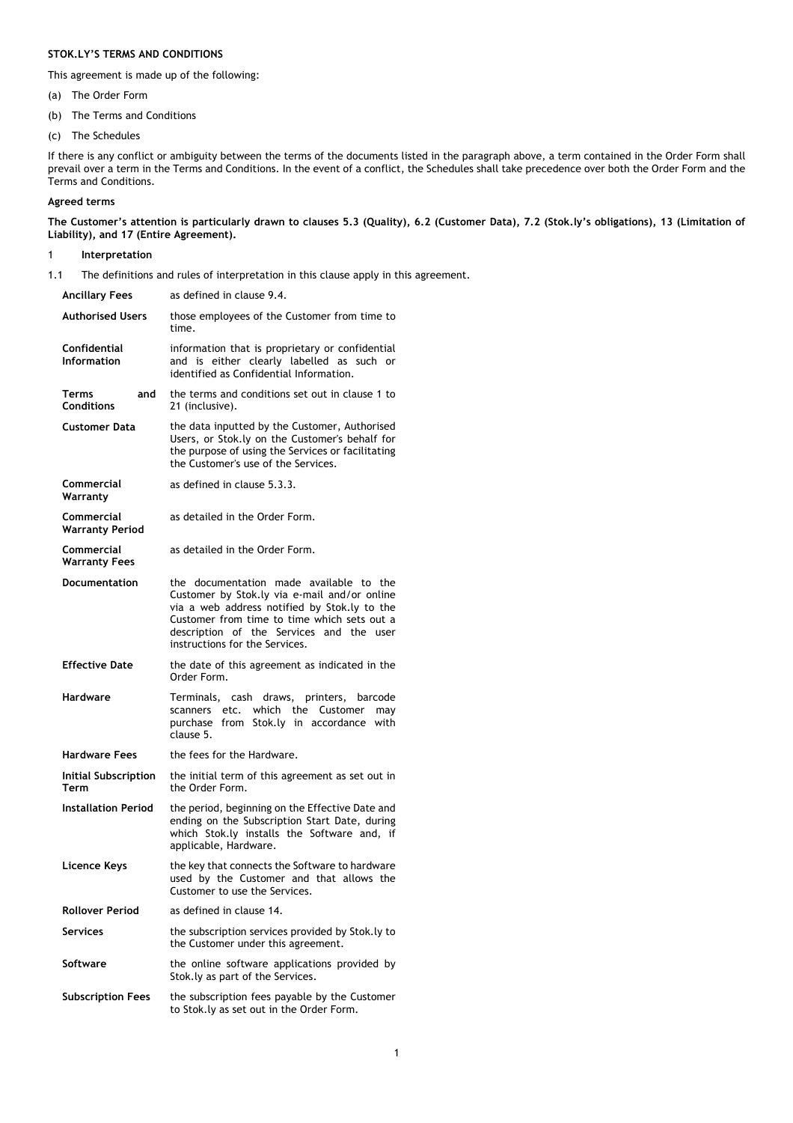# **STOK.LY'S TERMS AND CONDITIONS**

This agreement is made up of the following:

- (a) The Order Form
- (b) The Terms and Conditions
- (c) The Schedules

If there is any conflict or ambiguity between the terms of the documents listed in the paragraph above, a term contained in the Order Form shall prevail over a term in the Terms and Conditions. In the event of a conflict, the Schedules shall take precedence over both the Order Form and the Terms and Conditions.

# **Agreed terms**

**The Customer's attention is particularly drawn to clauses 5.3 (Quality), 6.2 (Customer Data), 7.2 (Stok.ly's obligations), 13 (Limitation of Liability), and 17 (Entire Agreement).**

# 1 **Interpretation**

1.1 The definitions and rules of interpretation in this clause apply in this agreement.

| <b>Ancillary Fees</b>                       | as defined in clause 9.4.                                                                                                                                                                                                                                            |
|---------------------------------------------|----------------------------------------------------------------------------------------------------------------------------------------------------------------------------------------------------------------------------------------------------------------------|
| <b>Authorised Users</b>                     | those employees of the Customer from time to<br>time.                                                                                                                                                                                                                |
| Confidential<br><b>Information</b>          | information that is proprietary or confidential<br>and is either clearly labelled as such or<br>identified as Confidential Information.                                                                                                                              |
| Terms<br>and<br><b>Conditions</b>           | the terms and conditions set out in clause 1 to<br>21 (inclusive).                                                                                                                                                                                                   |
| <b>Customer Data</b>                        | the data inputted by the Customer, Authorised<br>Users, or Stok.ly on the Customer's behalf for<br>the purpose of using the Services or facilitating<br>the Customer's use of the Services.                                                                          |
| Commercial<br>Warranty                      | as defined in clause 5.3.3.                                                                                                                                                                                                                                          |
| <b>Commercial</b><br><b>Warranty Period</b> | as detailed in the Order Form.                                                                                                                                                                                                                                       |
| Commercial<br><b>Warranty Fees</b>          | as detailed in the Order Form.                                                                                                                                                                                                                                       |
| <b>Documentation</b>                        | the documentation made available to the<br>Customer by Stok.ly via e-mail and/or online<br>via a web address notified by Stok.ly to the<br>Customer from time to time which sets out a<br>description of the Services and the user<br>instructions for the Services. |
|                                             |                                                                                                                                                                                                                                                                      |
| <b>Effective Date</b>                       | the date of this agreement as indicated in the<br>Order Form.                                                                                                                                                                                                        |
| <b>Hardware</b>                             | Terminals, cash draws, printers, barcode<br>scanners etc. which the Customer<br>may<br>purchase from Stok.ly in accordance with<br>clause 5.                                                                                                                         |
| <b>Hardware Fees</b>                        | the fees for the Hardware.                                                                                                                                                                                                                                           |
| Initial Subscription<br>Term                | the initial term of this agreement as set out in<br>the Order Form.                                                                                                                                                                                                  |
| <b>Installation Period</b>                  | the period, beginning on the Effective Date and<br>ending on the Subscription Start Date, during<br>which Stok.ly installs the Software and, if<br>applicable, Hardware.                                                                                             |
| Licence Keys                                | the key that connects the Software to hardware<br>used by the Customer and that allows the<br>Customer to use the Services.                                                                                                                                          |
| <b>Rollover Period</b>                      | as defined in clause 14.                                                                                                                                                                                                                                             |
| <b>Services</b>                             | the subscription services provided by Stok.ly to<br>the Customer under this agreement.                                                                                                                                                                               |
| <b>Software</b>                             | the online software applications provided by<br>Stok.ly as part of the Services.                                                                                                                                                                                     |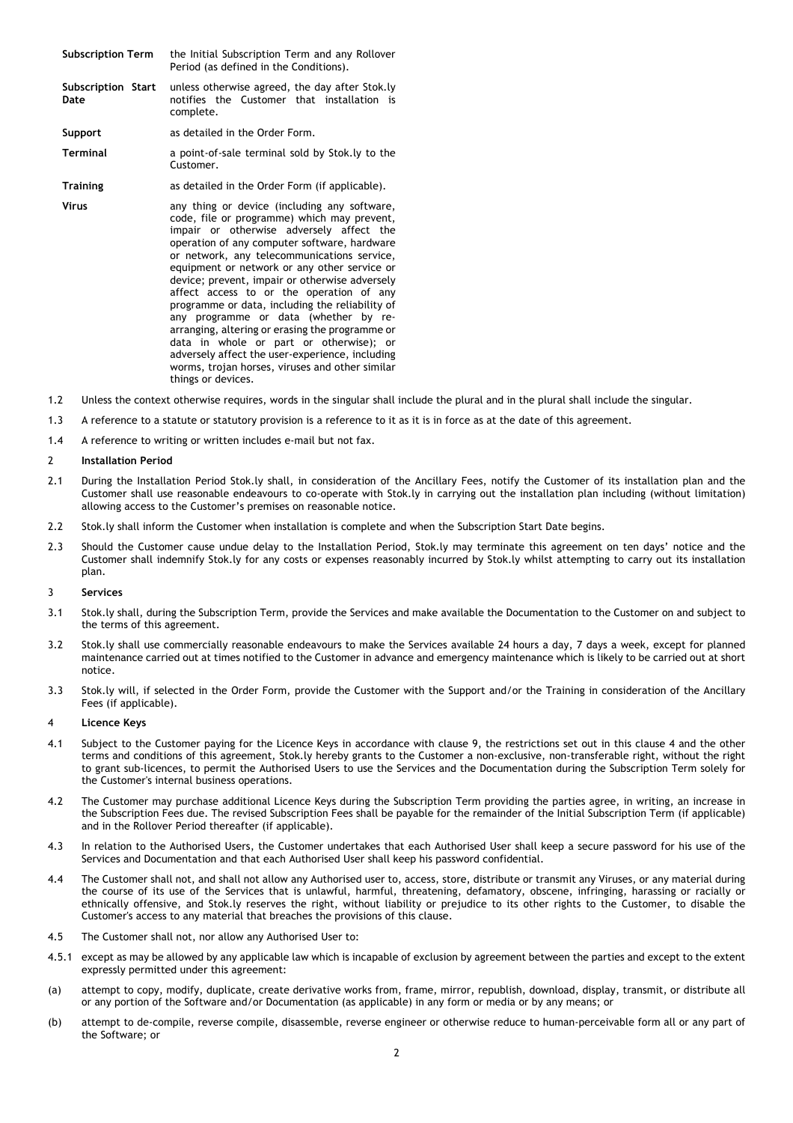- **Subscription Term** the Initial Subscription Term and any Rollover Period (as defined in the Conditions). **Subscription Start**  unless otherwise agreed, the day after Stok.ly
- **Date** notifies the Customer that installation is complete.

**Support** as detailed in the Order Form.

**Terminal** a point-of-sale terminal sold by Stok.ly to the Customer.

**Training** as detailed in the Order Form (if applicable).

- **Virus any thing or device (including any software,** code, file or programme) which may prevent, impair or otherwise adversely affect the operation of any computer software, hardware or network, any telecommunications service, equipment or network or any other service or device; prevent, impair or otherwise adversely affect access to or the operation of any programme or data, including the reliability of any programme or data (whether by rearranging, altering or erasing the programme or data in whole or part or otherwise); or adversely affect the user-experience, including worms, trojan horses, viruses and other similar things or devices.
- 1.2 Unless the context otherwise requires, words in the singular shall include the plural and in the plural shall include the singular.
- 1.3 A reference to a statute or statutory provision is a reference to it as it is in force as at the date of this agreement.
- 1.4 A reference to writing or written includes e-mail but not fax.

# 2 **Installation Period**

- 2.1 During the Installation Period Stok.ly shall, in consideration of the Ancillary Fees, notify the Customer of its installation plan and the Customer shall use reasonable endeavours to co-operate with Stok.ly in carrying out the installation plan including (without limitation) allowing access to the Customer's premises on reasonable notice.
- 2.2 Stok.ly shall inform the Customer when installation is complete and when the Subscription Start Date begins.
- 2.3 Should the Customer cause undue delay to the Installation Period, Stok.ly may terminate this agreement on ten days' notice and the Customer shall indemnify Stok.ly for any costs or expenses reasonably incurred by Stok.ly whilst attempting to carry out its installation plan.

# 3 **Services**

- 3.1 Stok.ly shall, during the Subscription Term, provide the Services and make available the Documentation to the Customer on and subject to the terms of this agreement.
- 3.2 Stok.ly shall use commercially reasonable endeavours to make the Services available 24 hours a day, 7 days a week, except for planned maintenance carried out at times notified to the Customer in advance and emergency maintenance which is likely to be carried out at short notice.
- 3.3 Stok.ly will, if selected in the Order Form, provide the Customer with the Support and/or the Training in consideration of the Ancillary Fees (if applicable).

# 4 **Licence Keys**

- 4.1 Subject to the Customer paying for the Licence Keys in accordance with clause 9, the restrictions set out in this clause 4 and the other terms and conditions of this agreement, Stok.ly hereby grants to the Customer a non-exclusive, non-transferable right, without the right to grant sub-licences, to permit the Authorised Users to use the Services and the Documentation during the Subscription Term solely for the Customer's internal business operations.
- 4.2 The Customer may purchase additional Licence Keys during the Subscription Term providing the parties agree, in writing, an increase in the Subscription Fees due. The revised Subscription Fees shall be payable for the remainder of the Initial Subscription Term (if applicable) and in the Rollover Period thereafter (if applicable).
- 4.3 In relation to the Authorised Users, the Customer undertakes that each Authorised User shall keep a secure password for his use of the Services and Documentation and that each Authorised User shall keep his password confidential.
- 4.4 The Customer shall not, and shall not allow any Authorised user to, access, store, distribute or transmit any Viruses, or any material during the course of its use of the Services that is unlawful, harmful, threatening, defamatory, obscene, infringing, harassing or racially or ethnically offensive, and Stok.ly reserves the right, without liability or prejudice to its other rights to the Customer, to disable the Customer's access to any material that breaches the provisions of this clause.
- 4.5 The Customer shall not, nor allow any Authorised User to:
- 4.5.1 except as may be allowed by any applicable law which is incapable of exclusion by agreement between the parties and except to the extent expressly permitted under this agreement:
- (a) attempt to copy, modify, duplicate, create derivative works from, frame, mirror, republish, download, display, transmit, or distribute all or any portion of the Software and/or Documentation (as applicable) in any form or media or by any means; or
- (b) attempt to de-compile, reverse compile, disassemble, reverse engineer or otherwise reduce to human-perceivable form all or any part of the Software; or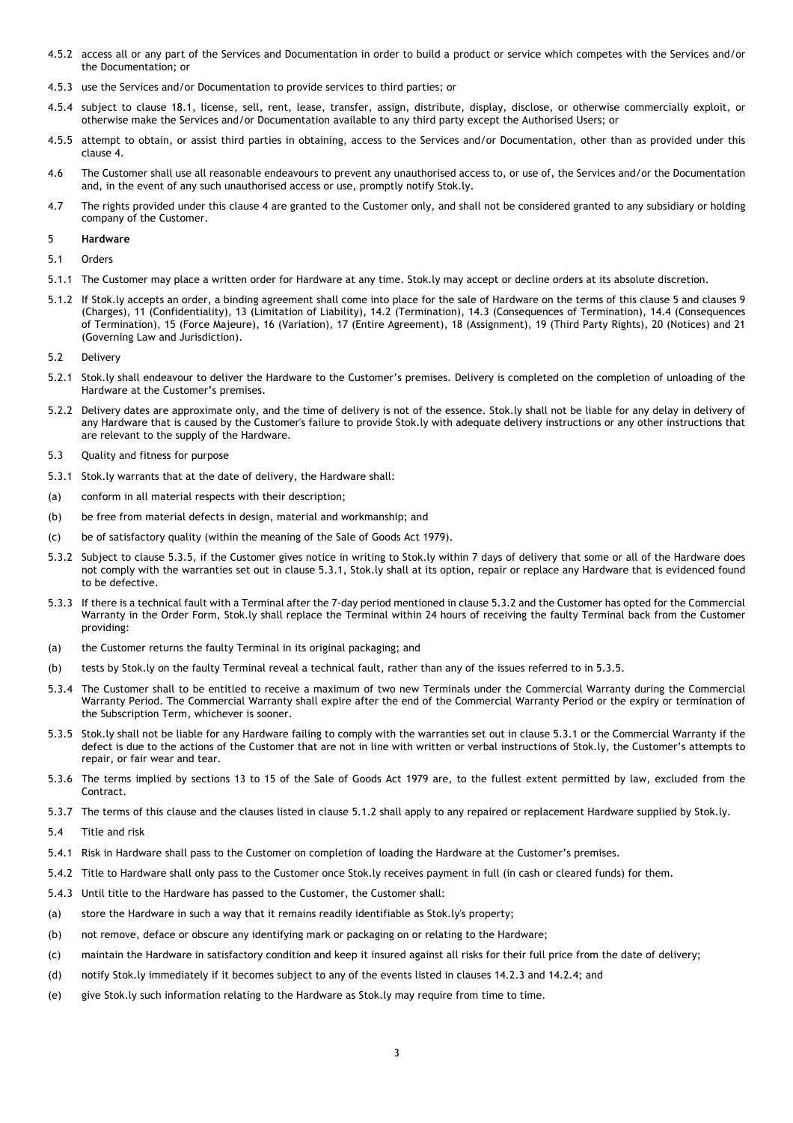- 4.5.2 access all or any part of the Services and Documentation in order to build a product or service which competes with the Services and/or the Documentation; or
- 4.5.3 use the Services and/or Documentation to provide services to third parties; or
- 4.5.4 subject to clause 18.1, license, sell, rent, lease, transfer, assign, distribute, display, disclose, or otherwise commercially exploit, or otherwise make the Services and/or Documentation available to any third party except the Authorised Users; or
- 4.5.5 attempt to obtain, or assist third parties in obtaining, access to the Services and/or Documentation, other than as provided under this clause 4.
- 4.6 The Customer shall use all reasonable endeavours to prevent any unauthorised access to, or use of, the Services and/or the Documentation and, in the event of any such unauthorised access or use, promptly notify Stok.ly.
- 4.7 The rights provided under this clause 4 are granted to the Customer only, and shall not be considered granted to any subsidiary or holding company of the Customer.

# 5 **Hardware**

5.1 Orders

- 5.1.1 The Customer may place a written order for Hardware at any time. Stok.ly may accept or decline orders at its absolute discretion.
- 5.1.2 If Stok.ly accepts an order, a binding agreement shall come into place for the sale of Hardware on the terms of this clause 5 and clauses 9 (Charges), 11 (Confidentiality), 13 (Limitation of Liability), 14.2 (Termination), 14.3 (Consequences of Termination), 14.4 (Consequences of Termination), 15 (Force Majeure), 16 (Variation), 17 (Entire Agreement), 18 (Assignment), 19 (Third Party Rights), 20 (Notices) and 21 (Governing Law and Jurisdiction).
- 5.2 Delivery
- 5.2.1 Stok.ly shall endeavour to deliver the Hardware to the Customer's premises. Delivery is completed on the completion of unloading of the Hardware at the Customer's premises.
- 5.2.2 Delivery dates are approximate only, and the time of delivery is not of the essence. Stok.ly shall not be liable for any delay in delivery of any Hardware that is caused by the Customer's failure to provide Stok.ly with adequate delivery instructions or any other instructions that are relevant to the supply of the Hardware.
- 5.3 Quality and fitness for purpose
- 5.3.1 Stok.ly warrants that at the date of delivery, the Hardware shall:
- (a) conform in all material respects with their description;
- (b) be free from material defects in design, material and workmanship; and
- (c) be of satisfactory quality (within the meaning of the Sale of Goods Act 1979).
- 5.3.2 Subject to clause 5.3.5, if the Customer gives notice in writing to Stok.ly within 7 days of delivery that some or all of the Hardware does not comply with the warranties set out in clause 5.3.1, Stok.ly shall at its option, repair or replace any Hardware that is evidenced found to be defective.
- 5.3.3 If there is a technical fault with a Terminal after the 7-day period mentioned in clause 5.3.2 and the Customer has opted for the Commercial Warranty in the Order Form, Stok.ly shall replace the Terminal within 24 hours of receiving the faulty Terminal back from the Customer providing:
- (a) the Customer returns the faulty Terminal in its original packaging; and
- (b) tests by Stok.ly on the faulty Terminal reveal a technical fault, rather than any of the issues referred to in 5.3.5.
- 5.3.4 The Customer shall to be entitled to receive a maximum of two new Terminals under the Commercial Warranty during the Commercial Warranty Period. The Commercial Warranty shall expire after the end of the Commercial Warranty Period or the expiry or termination of the Subscription Term, whichever is sooner.
- 5.3.5 Stok.ly shall not be liable for any Hardware failing to comply with the warranties set out in clause 5.3.1 or the Commercial Warranty if the defect is due to the actions of the Customer that are not in line with written or verbal instructions of Stok.ly, the Customer's attempts to repair, or fair wear and tear.
- 5.3.6 The terms implied by sections 13 to 15 of the Sale of Goods Act 1979 are, to the fullest extent permitted by law, excluded from the Contract.
- 5.3.7 The terms of this clause and the clauses listed in clause 5.1.2 shall apply to any repaired or replacement Hardware supplied by Stok.ly.
- 5.4 Title and risk
- 5.4.1 Risk in Hardware shall pass to the Customer on completion of loading the Hardware at the Customer's premises.
- 5.4.2 Title to Hardware shall only pass to the Customer once Stok.ly receives payment in full (in cash or cleared funds) for them.
- 5.4.3 Until title to the Hardware has passed to the Customer, the Customer shall:
- (a) store the Hardware in such a way that it remains readily identifiable as Stok.ly's property;
- (b) not remove, deface or obscure any identifying mark or packaging on or relating to the Hardware;
- (c) maintain the Hardware in satisfactory condition and keep it insured against all risks for their full price from the date of delivery;
- (d) notify Stok.ly immediately if it becomes subject to any of the events listed in clauses 14.2.3 and 14.2.4; and
- (e) give Stok.ly such information relating to the Hardware as Stok.ly may require from time to time.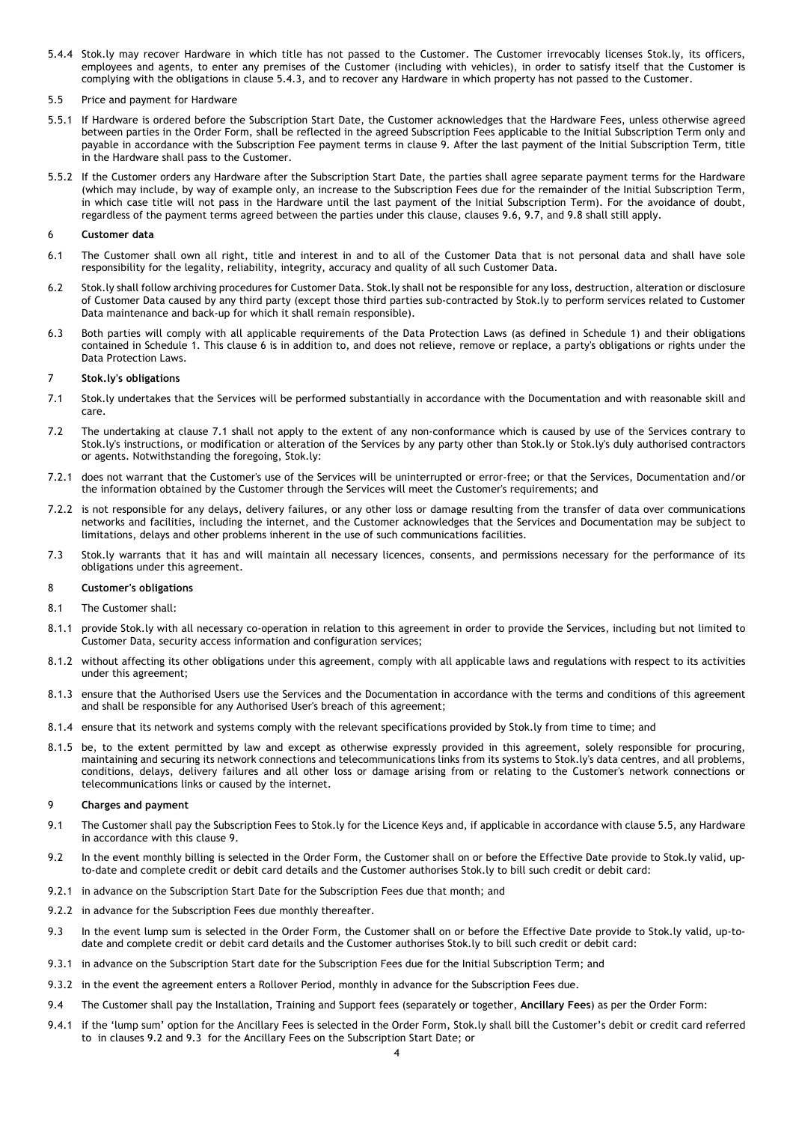- 5.4.4 Stok.ly may recover Hardware in which title has not passed to the Customer. The Customer irrevocably licenses Stok.ly, its officers, employees and agents, to enter any premises of the Customer (including with vehicles), in order to satisfy itself that the Customer is complying with the obligations in clause 5.4.3, and to recover any Hardware in which property has not passed to the Customer.
- 5.5 Price and payment for Hardware
- 5.5.1 If Hardware is ordered before the Subscription Start Date, the Customer acknowledges that the Hardware Fees, unless otherwise agreed between parties in the Order Form, shall be reflected in the agreed Subscription Fees applicable to the Initial Subscription Term only and payable in accordance with the Subscription Fee payment terms in clause 9. After the last payment of the Initial Subscription Term, title in the Hardware shall pass to the Customer.
- 5.5.2 If the Customer orders any Hardware after the Subscription Start Date, the parties shall agree separate payment terms for the Hardware (which may include, by way of example only, an increase to the Subscription Fees due for the remainder of the Initial Subscription Term, in which case title will not pass in the Hardware until the last payment of the Initial Subscription Term). For the avoidance of doubt, regardless of the payment terms agreed between the parties under this clause, clauses 9.6, 9.7, and 9.8 shall still apply.

## 6 **Customer data**

- 6.1 The Customer shall own all right, title and interest in and to all of the Customer Data that is not personal data and shall have sole responsibility for the legality, reliability, integrity, accuracy and quality of all such Customer Data.
- 6.2 Stok.ly shall follow archiving procedures for Customer Data. Stok.ly shall not be responsible for any loss, destruction, alteration or disclosure of Customer Data caused by any third party (except those third parties sub-contracted by Stok.ly to perform services related to Customer Data maintenance and back-up for which it shall remain responsible).
- 6.3 Both parties will comply with all applicable requirements of the Data Protection Laws (as defined in Schedule 1) and their obligations contained in Schedule 1. This clause 6 is in addition to, and does not relieve, remove or replace, a party's obligations or rights under the Data Protection Laws.

# 7 **Stok.ly's obligations**

- 7.1 Stok.ly undertakes that the Services will be performed substantially in accordance with the Documentation and with reasonable skill and care.
- 7.2 The undertaking at clause 7.1 shall not apply to the extent of any non-conformance which is caused by use of the Services contrary to Stok.ly's instructions, or modification or alteration of the Services by any party other than Stok.ly or Stok.ly's duly authorised contractors or agents. Notwithstanding the foregoing, Stok.ly:
- 7.2.1 does not warrant that the Customer's use of the Services will be uninterrupted or error-free; or that the Services, Documentation and/or the information obtained by the Customer through the Services will meet the Customer's requirements; and
- 7.2.2 is not responsible for any delays, delivery failures, or any other loss or damage resulting from the transfer of data over communications networks and facilities, including the internet, and the Customer acknowledges that the Services and Documentation may be subject to limitations, delays and other problems inherent in the use of such communications facilities.
- 7.3 Stok.ly warrants that it has and will maintain all necessary licences, consents, and permissions necessary for the performance of its obligations under this agreement.

### 8 **Customer's obligations**

- 8.1 The Customer shall:
- 8.1.1 provide Stok.ly with all necessary co-operation in relation to this agreement in order to provide the Services, including but not limited to Customer Data, security access information and configuration services;
- 8.1.2 without affecting its other obligations under this agreement, comply with all applicable laws and regulations with respect to its activities under this agreement;
- 8.1.3 ensure that the Authorised Users use the Services and the Documentation in accordance with the terms and conditions of this agreement and shall be responsible for any Authorised User's breach of this agreement;
- 8.1.4 ensure that its network and systems comply with the relevant specifications provided by Stok.ly from time to time; and
- 8.1.5 be, to the extent permitted by law and except as otherwise expressly provided in this agreement, solely responsible for procuring, maintaining and securing its network connections and telecommunications links from its systems to Stok.ly's data centres, and all problems, conditions, delays, delivery failures and all other loss or damage arising from or relating to the Customer's network connections or telecommunications links or caused by the internet.

## 9 **Charges and payment**

- 9.1 The Customer shall pay the Subscription Fees to Stok.ly for the Licence Keys and, if applicable in accordance with clause 5.5, any Hardware in accordance with this clause 9.
- 9.2 In the event monthly billing is selected in the Order Form, the Customer shall on or before the Effective Date provide to Stok.ly valid, upto-date and complete credit or debit card details and the Customer authorises Stok.ly to bill such credit or debit card:
- 9.2.1 in advance on the Subscription Start Date for the Subscription Fees due that month; and
- 9.2.2 in advance for the Subscription Fees due monthly thereafter.
- 9.3 In the event lump sum is selected in the Order Form, the Customer shall on or before the Effective Date provide to Stok.ly valid, up-todate and complete credit or debit card details and the Customer authorises Stok.ly to bill such credit or debit card:
- 9.3.1 in advance on the Subscription Start date for the Subscription Fees due for the Initial Subscription Term; and
- 9.3.2 in the event the agreement enters a Rollover Period, monthly in advance for the Subscription Fees due.
- 9.4 The Customer shall pay the Installation, Training and Support fees (separately or together, **Ancillary Fees**) as per the Order Form:
- 9.4.1 if the 'lump sum' option for the Ancillary Fees is selected in the Order Form, Stok.ly shall bill the Customer's debit or credit card referred to in clauses 9.2 and 9.3 for the Ancillary Fees on the Subscription Start Date; or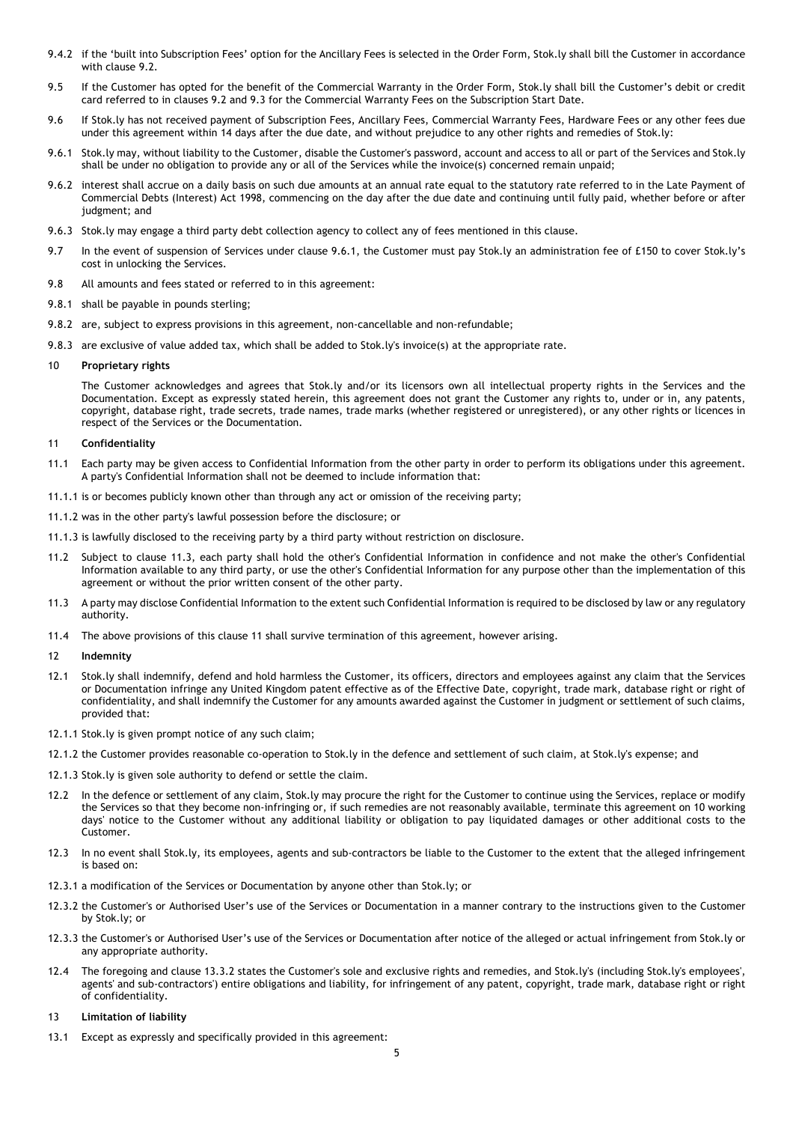- 9.4.2 if the 'built into Subscription Fees' option for the Ancillary Fees is selected in the Order Form, Stok.ly shall bill the Customer in accordance with clause 9.2.
- 9.5 If the Customer has opted for the benefit of the Commercial Warranty in the Order Form, Stok.ly shall bill the Customer's debit or credit card referred to in clauses 9.2 and 9.3 for the Commercial Warranty Fees on the Subscription Start Date.
- 9.6 If Stok.ly has not received payment of Subscription Fees, Ancillary Fees, Commercial Warranty Fees, Hardware Fees or any other fees due under this agreement within 14 days after the due date, and without prejudice to any other rights and remedies of Stok.ly:
- 9.6.1 Stok.ly may, without liability to the Customer, disable the Customer's password, account and access to all or part of the Services and Stok.ly shall be under no obligation to provide any or all of the Services while the invoice(s) concerned remain unpaid;
- 9.6.2 interest shall accrue on a daily basis on such due amounts at an annual rate equal to the statutory rate referred to in the Late Payment of Commercial Debts (Interest) Act 1998, commencing on the day after the due date and continuing until fully paid, whether before or after judgment; and
- 9.6.3 Stok.ly may engage a third party debt collection agency to collect any of fees mentioned in this clause.
- 9.7 In the event of suspension of Services under clause 9.6.1, the Customer must pay Stok.ly an administration fee of £150 to cover Stok.ly's cost in unlocking the Services.
- 9.8 All amounts and fees stated or referred to in this agreement:
- 9.8.1 shall be payable in pounds sterling;
- 9.8.2 are, subject to express provisions in this agreement, non-cancellable and non-refundable;
- 9.8.3 are exclusive of value added tax, which shall be added to Stok.ly's invoice(s) at the appropriate rate.

## 10 **Proprietary rights**

The Customer acknowledges and agrees that Stok.ly and/or its licensors own all intellectual property rights in the Services and the Documentation. Except as expressly stated herein, this agreement does not grant the Customer any rights to, under or in, any patents, copyright, database right, trade secrets, trade names, trade marks (whether registered or unregistered), or any other rights or licences in respect of the Services or the Documentation.

### 11 **Confidentiality**

- 11.1 Each party may be given access to Confidential Information from the other party in order to perform its obligations under this agreement. A party's Confidential Information shall not be deemed to include information that:
- 11.1.1 is or becomes publicly known other than through any act or omission of the receiving party;
- 11.1.2 was in the other party's lawful possession before the disclosure; or
- 11.1.3 is lawfully disclosed to the receiving party by a third party without restriction on disclosure.
- Subject to clause 11.3, each party shall hold the other's Confidential Information in confidence and not make the other's Confidential Information available to any third party, or use the other's Confidential Information for any purpose other than the implementation of this agreement or without the prior written consent of the other party.
- 11.3 A party may disclose Confidential Information to the extent such Confidential Information is required to be disclosed by law or any regulatory authority.
- 11.4 The above provisions of this clause 11 shall survive termination of this agreement, however arising.

### 12 **Indemnity**

- 12.1 Stok.ly shall indemnify, defend and hold harmless the Customer, its officers, directors and employees against any claim that the Services or Documentation infringe any United Kingdom patent effective as of the Effective Date, copyright, trade mark, database right or right of confidentiality, and shall indemnify the Customer for any amounts awarded against the Customer in judgment or settlement of such claims, provided that:
- 12.1.1 Stok.ly is given prompt notice of any such claim;
- 12.1.2 the Customer provides reasonable co-operation to Stok.ly in the defence and settlement of such claim, at Stok.ly's expense; and
- 12.1.3 Stok.ly is given sole authority to defend or settle the claim.
- 12.2 In the defence or settlement of any claim, Stok.ly may procure the right for the Customer to continue using the Services, replace or modify the Services so that they become non-infringing or, if such remedies are not reasonably available, terminate this agreement on 10 working days' notice to the Customer without any additional liability or obligation to pay liquidated damages or other additional costs to the Customer.
- 12.3 In no event shall Stok.ly, its employees, agents and sub-contractors be liable to the Customer to the extent that the alleged infringement is based on:
- 12.3.1 a modification of the Services or Documentation by anyone other than Stok.ly; or
- 12.3.2 the Customer's or Authorised User's use of the Services or Documentation in a manner contrary to the instructions given to the Customer by Stok.ly; or
- 12.3.3 the Customer's or Authorised User's use of the Services or Documentation after notice of the alleged or actual infringement from Stok.ly or any appropriate authority.
- 12.4 The foregoing and clause 13.3.2 states the Customer's sole and exclusive rights and remedies, and Stok.ly's (including Stok.ly's employees', agents' and sub-contractors') entire obligations and liability, for infringement of any patent, copyright, trade mark, database right or right of confidentiality.
- 13 **Limitation of liability**
- 13.1 Except as expressly and specifically provided in this agreement: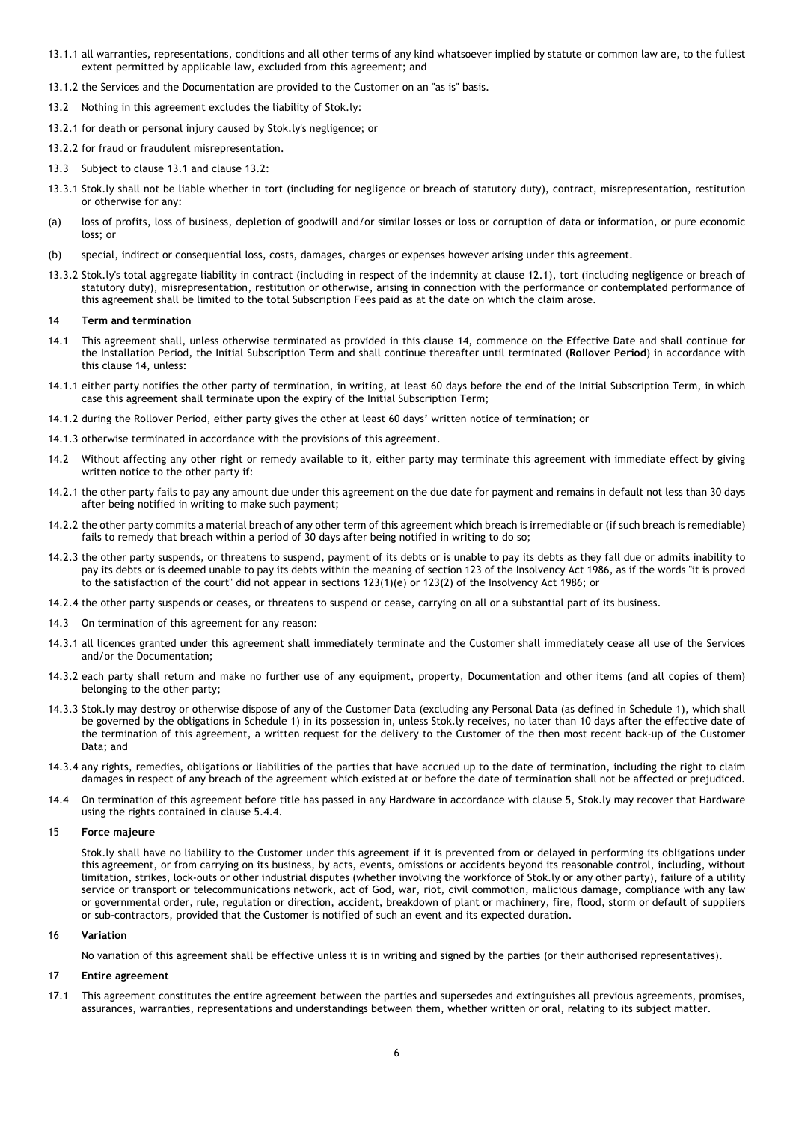- 13.1.1 all warranties, representations, conditions and all other terms of any kind whatsoever implied by statute or common law are, to the fullest extent permitted by applicable law, excluded from this agreement; and
- 13.1.2 the Services and the Documentation are provided to the Customer on an "as is" basis.
- 13.2 Nothing in this agreement excludes the liability of Stok.ly:
- 13.2.1 for death or personal injury caused by Stok.ly's negligence; or
- 13.2.2 for fraud or fraudulent misrepresentation.
- 13.3 Subject to clause 13.1 and clause 13.2:
- 13.3.1 Stok.ly shall not be liable whether in tort (including for negligence or breach of statutory duty), contract, misrepresentation, restitution or otherwise for any:
- (a) loss of profits, loss of business, depletion of goodwill and/or similar losses or loss or corruption of data or information, or pure economic loss; or
- (b) special, indirect or consequential loss, costs, damages, charges or expenses however arising under this agreement.
- 13.3.2 Stok.ly's total aggregate liability in contract (including in respect of the indemnity at clause 12.1), tort (including negligence or breach of statutory duty), misrepresentation, restitution or otherwise, arising in connection with the performance or contemplated performance of this agreement shall be limited to the total Subscription Fees paid as at the date on which the claim arose.

#### 14 **Term and termination**

- 14.1 This agreement shall, unless otherwise terminated as provided in this clause 14, commence on the Effective Date and shall continue for the Installation Period, the Initial Subscription Term and shall continue thereafter until terminated (**Rollover Period**) in accordance with this clause 14, unless:
- 14.1.1 either party notifies the other party of termination, in writing, at least 60 days before the end of the Initial Subscription Term, in which case this agreement shall terminate upon the expiry of the Initial Subscription Term;
- 14.1.2 during the Rollover Period, either party gives the other at least 60 days' written notice of termination; or
- 14.1.3 otherwise terminated in accordance with the provisions of this agreement.
- 14.2 Without affecting any other right or remedy available to it, either party may terminate this agreement with immediate effect by giving written notice to the other party if:
- 14.2.1 the other party fails to pay any amount due under this agreement on the due date for payment and remains in default not less than 30 days after being notified in writing to make such payment;
- 14.2.2 the other party commits a material breach of any other term of this agreement which breach is irremediable or (if such breach is remediable) fails to remedy that breach within a period of 30 days after being notified in writing to do so;
- 14.2.3 the other party suspends, or threatens to suspend, payment of its debts or is unable to pay its debts as they fall due or admits inability to pay its debts or is deemed unable to pay its debts within the meaning of section 123 of the Insolvency Act 1986, as if the words "it is proved to the satisfaction of the court" did not appear in sections 123(1)(e) or 123(2) of the Insolvency Act 1986; or
- 14.2.4 the other party suspends or ceases, or threatens to suspend or cease, carrying on all or a substantial part of its business.
- 14.3 On termination of this agreement for any reason:
- 14.3.1 all licences granted under this agreement shall immediately terminate and the Customer shall immediately cease all use of the Services and/or the Documentation;
- 14.3.2 each party shall return and make no further use of any equipment, property, Documentation and other items (and all copies of them) belonging to the other party;
- 14.3.3 Stok.ly may destroy or otherwise dispose of any of the Customer Data (excluding any Personal Data (as defined in Schedule 1), which shall be governed by the obligations in Schedule 1) in its possession in, unless Stok.ly receives, no later than 10 days after the effective date of the termination of this agreement, a written request for the delivery to the Customer of the then most recent back-up of the Customer Data; and
- 14.3.4 any rights, remedies, obligations or liabilities of the parties that have accrued up to the date of termination, including the right to claim damages in respect of any breach of the agreement which existed at or before the date of termination shall not be affected or prejudiced.
- 14.4 On termination of this agreement before title has passed in any Hardware in accordance with clause 5, Stok.ly may recover that Hardware using the rights contained in clause 5.4.4.

### 15 **Force majeure**

Stok.ly shall have no liability to the Customer under this agreement if it is prevented from or delayed in performing its obligations under this agreement, or from carrying on its business, by acts, events, omissions or accidents beyond its reasonable control, including, without limitation, strikes, lock-outs or other industrial disputes (whether involving the workforce of Stok.ly or any other party), failure of a utility service or transport or telecommunications network, act of God, war, riot, civil commotion, malicious damage, compliance with any law or governmental order, rule, regulation or direction, accident, breakdown of plant or machinery, fire, flood, storm or default of suppliers or sub-contractors, provided that the Customer is notified of such an event and its expected duration.

### 16 **Variation**

No variation of this agreement shall be effective unless it is in writing and signed by the parties (or their authorised representatives).

# 17 **Entire agreement**

17.1 This agreement constitutes the entire agreement between the parties and supersedes and extinguishes all previous agreements, promises, assurances, warranties, representations and understandings between them, whether written or oral, relating to its subject matter.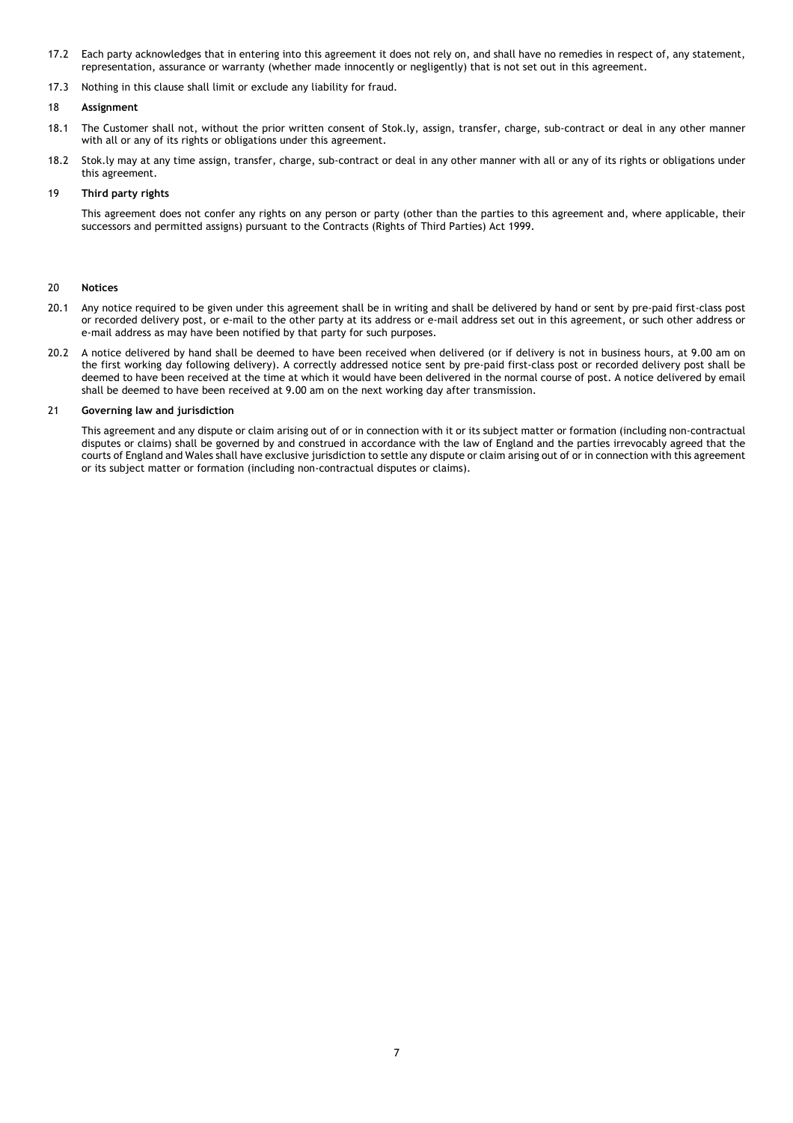- 17.2 Each party acknowledges that in entering into this agreement it does not rely on, and shall have no remedies in respect of, any statement, representation, assurance or warranty (whether made innocently or negligently) that is not set out in this agreement.
- 17.3 Nothing in this clause shall limit or exclude any liability for fraud.

# 18 **Assignment**

- 18.1 The Customer shall not, without the prior written consent of Stok.ly, assign, transfer, charge, sub-contract or deal in any other manner with all or any of its rights or obligations under this agreement.
- 18.2 Stok.ly may at any time assign, transfer, charge, sub-contract or deal in any other manner with all or any of its rights or obligations under this agreement.

# 19 **Third party rights**

This agreement does not confer any rights on any person or party (other than the parties to this agreement and, where applicable, their successors and permitted assigns) pursuant to the Contracts (Rights of Third Parties) Act 1999.

# 20 **Notices**

- 20.1 Any notice required to be given under this agreement shall be in writing and shall be delivered by hand or sent by pre-paid first-class post or recorded delivery post, or e-mail to the other party at its address or e-mail address set out in this agreement, or such other address or e-mail address as may have been notified by that party for such purposes.
- 20.2 A notice delivered by hand shall be deemed to have been received when delivered (or if delivery is not in business hours, at 9.00 am on the first working day following delivery). A correctly addressed notice sent by pre-paid first-class post or recorded delivery post shall be deemed to have been received at the time at which it would have been delivered in the normal course of post. A notice delivered by email shall be deemed to have been received at 9.00 am on the next working day after transmission.

# 21 **Governing law and jurisdiction**

This agreement and any dispute or claim arising out of or in connection with it or its subject matter or formation (including non-contractual disputes or claims) shall be governed by and construed in accordance with the law of England and the parties irrevocably agreed that the courts of England and Wales shall have exclusive jurisdiction to settle any dispute or claim arising out of or in connection with this agreement or its subject matter or formation (including non-contractual disputes or claims).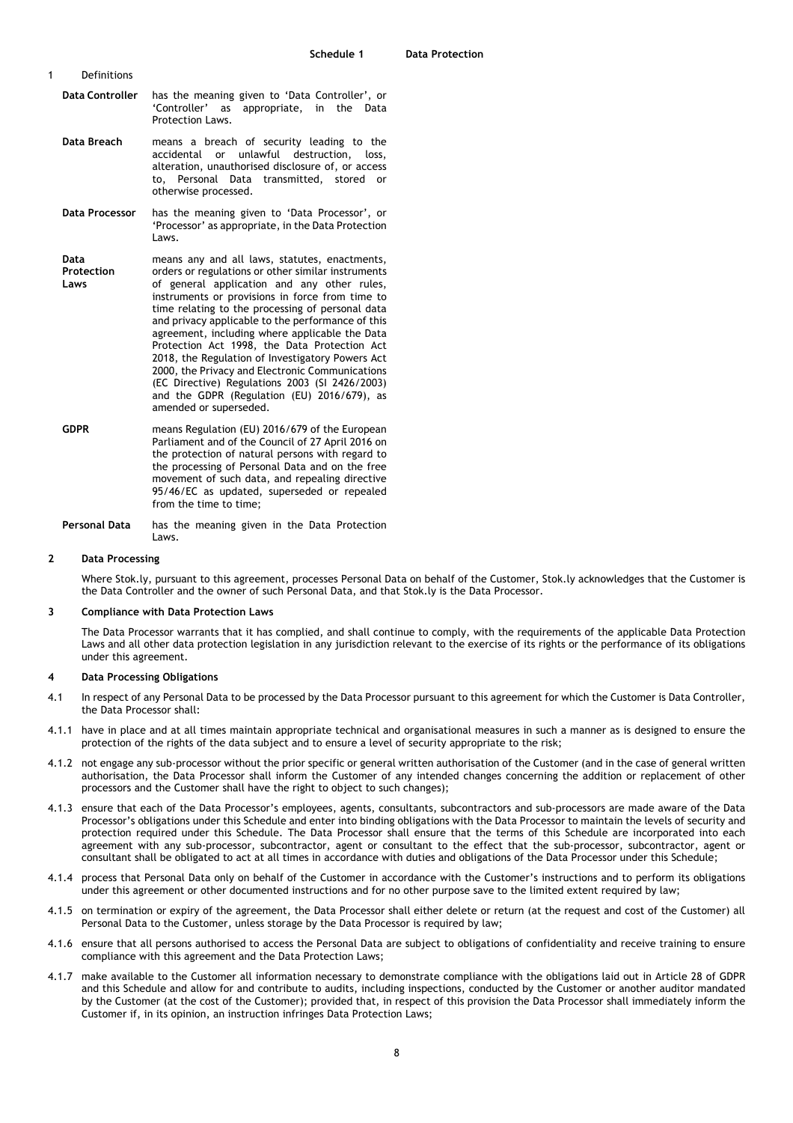- 1 Definitions
	- **Data Controller** has the meaning given to 'Data Controller', or 'Controller' as appropriate, in the Data Protection Laws.
	- **Data Breach** means a breach of security leading to the accidental or unlawful destruction, loss, alteration, unauthorised disclosure of, or access to, Personal Data transmitted, stored or otherwise processed.
	- **Data Processor** has the meaning given to 'Data Processor', or 'Processor' as appropriate, in the Data Protection Laws.
	- **Data Protection Laws** means any and all laws, statutes, enactments, orders or regulations or other similar instruments of general application and any other rules, instruments or provisions in force from time to time relating to the processing of personal data and privacy applicable to the performance of this agreement, including where applicable the Data Protection Act 1998, the Data Protection Act 2018, the Regulation of Investigatory Powers Act 2000, the Privacy and Electronic Communications (EC Directive) Regulations 2003 (SI 2426/2003) and the GDPR (Regulation (EU) 2016/679), as amended or superseded.
	- **GDPR** means Regulation (EU) 2016/679 of the European Parliament and of the Council of 27 April 2016 on the protection of natural persons with regard to the processing of Personal Data and on the free movement of such data, and repealing directive 95/46/EC as updated, superseded or repealed from the time to time;

**Personal Data** has the meaning given in the Data Protection Laws.

## **2 Data Processing**

Where Stok.ly, pursuant to this agreement, processes Personal Data on behalf of the Customer, Stok.ly acknowledges that the Customer is the Data Controller and the owner of such Personal Data, and that Stok.ly is the Data Processor.

## **3 Compliance with Data Protection Laws**

The Data Processor warrants that it has complied, and shall continue to comply, with the requirements of the applicable Data Protection Laws and all other data protection legislation in any jurisdiction relevant to the exercise of its rights or the performance of its obligations under this agreement.

## **4 Data Processing Obligations**

- 4.1 In respect of any Personal Data to be processed by the Data Processor pursuant to this agreement for which the Customer is Data Controller, the Data Processor shall:
- 4.1.1 have in place and at all times maintain appropriate technical and organisational measures in such a manner as is designed to ensure the protection of the rights of the data subject and to ensure a level of security appropriate to the risk;
- 4.1.2 not engage any sub-processor without the prior specific or general written authorisation of the Customer (and in the case of general written authorisation, the Data Processor shall inform the Customer of any intended changes concerning the addition or replacement of other processors and the Customer shall have the right to object to such changes);
- 4.1.3 ensure that each of the Data Processor's employees, agents, consultants, subcontractors and sub-processors are made aware of the Data Processor's obligations under this Schedule and enter into binding obligations with the Data Processor to maintain the levels of security and protection required under this Schedule. The Data Processor shall ensure that the terms of this Schedule are incorporated into each agreement with any sub-processor, subcontractor, agent or consultant to the effect that the sub-processor, subcontractor, agent or consultant shall be obligated to act at all times in accordance with duties and obligations of the Data Processor under this Schedule;
- 4.1.4 process that Personal Data only on behalf of the Customer in accordance with the Customer's instructions and to perform its obligations under this agreement or other documented instructions and for no other purpose save to the limited extent required by law;
- 4.1.5 on termination or expiry of the agreement, the Data Processor shall either delete or return (at the request and cost of the Customer) all Personal Data to the Customer, unless storage by the Data Processor is required by law;
- 4.1.6 ensure that all persons authorised to access the Personal Data are subject to obligations of confidentiality and receive training to ensure compliance with this agreement and the Data Protection Laws;
- 4.1.7 make available to the Customer all information necessary to demonstrate compliance with the obligations laid out in Article 28 of GDPR and this Schedule and allow for and contribute to audits, including inspections, conducted by the Customer or another auditor mandated by the Customer (at the cost of the Customer); provided that, in respect of this provision the Data Processor shall immediately inform the Customer if, in its opinion, an instruction infringes Data Protection Laws;